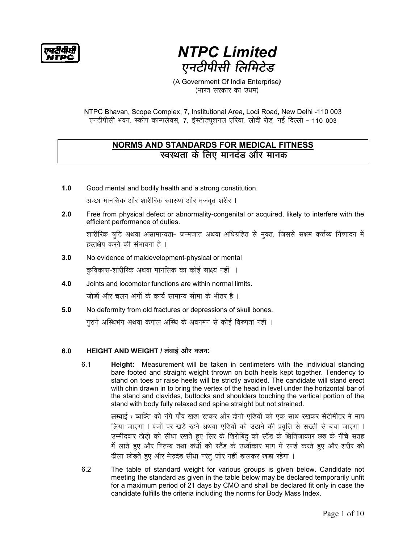का दी पीए

# **NTPC Limited** एनटीपीसी लिमिटेड

(A Government Of India Enterprise) (भारत सरकार का उधम)

NTPC Bhavan, Scope Complex, 7, Institutional Area, Lodi Road, New Delhi -110 003 एनटीपीसी भवन, स्कोप काम्पलेक्स, 7, इंस्टीट्यूशनल एरिया, लोदी रोड, नई दिल्ली - 110 003

# **NORMS AND STANDARDS FOR MEDICAL FITNESS** स्वस्थता के लिए मानदंड और मानक

 $1.0$ Good mental and bodily health and a strong constitution.

अच्छा मानसिक और शारीरिक स्वास्थ्य और मजबूत शरीर ।

 $2.0$ Free from physical defect or abnormality-congenital or acquired, likely to interfere with the efficient performance of duties.

शारीरिक त्रूटि अथवा असामान्यता- जन्मजात अथवा अधिग्रहित से मुक्त, जिससे सक्षम कर्त्तव्य निष्पादन में हस्तक्षेप करने की संभावना है ।

 $3.0$ No evidence of maldevelopment-physical or mental

कुविकास-शारीरिक अथवा मानसिक का कोई साक्ष्य नहीं ।

- Joints and locomotor functions are within normal limits. 4.0 जोड़ों और चलन अंगों के कार्य सामान्य सीमा के भीतर है ।
- $5.0$ No deformity from old fractures or depressions of skull bones. पूराने अस्थिभंग अथवा कपाल अस्थि के अवनमन से कोई विरुपता नहीं ।

#### HEIGHT AND WEIGHT / लंबाई और वजन:  $6.0$

 $6.1$ Height: Measurement will be taken in centimeters with the individual standing bare footed and straight weight thrown on both heels kept together. Tendency to stand on toes or raise heels will be strictly avoided. The candidate will stand erect with chin drawn in to bring the vertex of the head in level under the horizontal bar of the stand and clavides, buttocks and shoulders touching the vertical portion of the stand with body fully relaxed and spine straight but not strained.

> **लम्बाई** : व्यक्ति को नंगे पाँव खड़ा रहकर और दोनों एड़ियों को एक साथ रखकर सेंटीमीटर में माप लिया जाएगा । पंजों पर खड़े रहने अथवा एड़ियों को उठाने की प्रवृत्ति से सख्ती से बचा जाएगा । उम्मीदवार ठोढ़ी को सीधा रखते हुए सिर के शिरोबिंदु को स्टैंड के क्षितिजाकार छड़ के नीचे सतह में लाते हुए और नितम्ब तथा कंधों को स्टैंड के उर्ध्वाकार भाग में स्पर्श करते हुए और शरीर को ढीला छोड़ते हुए और मेरुदंड सीधा परंतु जोर नहीं डालकर खड़ा रहेगा ।

 $6.2$ The table of standard weight for various groups is given below. Candidate not meeting the standard as given in the table below may be declared temporarily unfit for a maximum period of 21 days by CMO and shall be declared fit only in case the candidate fulfills the criteria including the norms for Body Mass Index.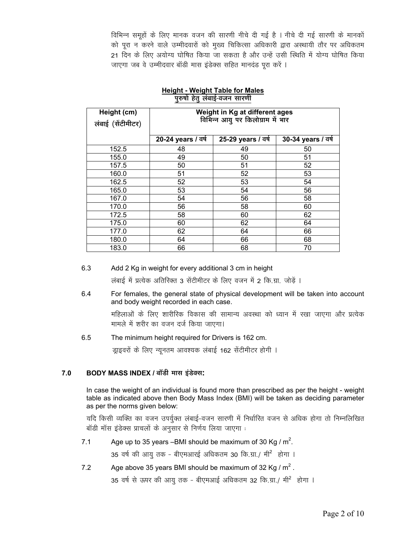विभिन्न समूहों के लिए मानक वजन की सारणी नीचे दी गई है । नीचे दी गई सारणी के मानकों को पूरा न करने वाले उम्मीदवारों को मुख्य चिकित्सा अधिकारी द्वारा अस्थायी तौर पर अधिकतम 21 दिन के लिए अयोग्य घोषित किया जा सकता है और उन्हें उसी स्थिति में योग्य घोषित किया जाएगा जब वे उम्मीदवार बॉडी मास इंडेक्स सहित मानदंड पुरा करें।

| Height (cm)<br>लंबाई (सेंटीमीटर) | Weight in Kg at different ages<br>विभिन्न आयु पर किलोग्राम में भार |                    |                    |  |  |
|----------------------------------|--------------------------------------------------------------------|--------------------|--------------------|--|--|
|                                  | 20-24 years / वर्ष                                                 | 25-29 years / वर्ष | 30-34 years / वर्ष |  |  |
| 152.5                            | 48                                                                 | 49                 | 50                 |  |  |
| 155.0                            | 49                                                                 | 50                 | 51                 |  |  |
| 157.5                            | 50                                                                 | 51                 | 52                 |  |  |
| 160.0                            | 51                                                                 | 52                 | 53                 |  |  |
| 162.5                            | 52                                                                 | 53                 | 54                 |  |  |
| 165.0                            | 53                                                                 | 54                 | 56                 |  |  |
| 167.0                            | 54                                                                 | 56                 | 58                 |  |  |
| 170.0                            | 56                                                                 | 58                 | 60                 |  |  |
| 172.5                            | 58                                                                 | 60                 | 62                 |  |  |
| 175.0                            | 60                                                                 | 62                 | 64                 |  |  |
| 177.0                            | 62                                                                 | 64                 | 66                 |  |  |
| 180.0                            | 64                                                                 | 66                 | 68                 |  |  |
| 183.0                            | 66                                                                 | 68                 | 70                 |  |  |

### **Height - Weight Table for Males** पुरुषों हेतु लंबाई-वजन सारणी

 $6.3$ Add 2 Kg in weight for every additional 3 cm in height

लंबाई में प्रत्येक अतिरिक्त 3 सेंटीमीटर के लिए वजन में 2 कि.ग्रा. जोड़ें ।

 $6.4$ For females, the general state of physical development will be taken into account and body weight recorded in each case.

महिलाओं के लिए शारीरिक विकास की सामान्य अवस्था को ध्यान में रखा जाएगा और प्रत्येक मामले में शरीर का वजन दर्ज किया जाएगा।

6.5 The minimum height required for Drivers is 162 cm.

ड्राइवरों के लिए न्यूनतम आवश्यक लंबाई 162 सेंटीमीटर होगी ।

#### $7.0$ BODY MASS INDEX / बॉडी मास इंडेक्स:

In case the weight of an individual is found more than prescribed as per the height - weight table as indicated above then Body Mass Index (BMI) will be taken as deciding parameter as per the norms given below:

यदि किसी व्यक्ति का वजन उपर्युक्त लंबाई-वजन सारणी में निर्धारित वजन से अधिक होगा तो निम्नलिखित बॉडी मॉस इंडेक्स प्राचलों के अनुसार से निर्णय लिया जाएगा :

 $7.1$ Age up to 35 years –BMI should be maximum of 30 Kg /  $m^2$ .

35 वर्ष की आयू तक - बीएमआरई अधिकतम 30 कि.ग्रा./ मी<sup>2</sup> होगा ।

 $7.2$ Age above 35 years BMI should be maximum of 32 Kg /  $m^2$ .

35 वर्ष से ऊपर की आयु तक - बीएमआई अधिकतम 32 कि.ग्रा./ मी<sup>2</sup> होगा ।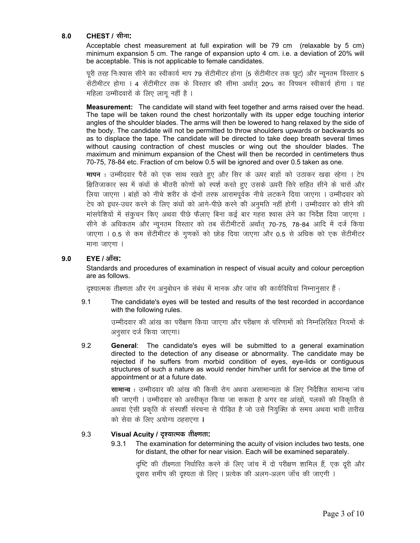# **8.0 CHEST** / सीना:

Acceptable chest measurement at full expiration will be 79 cm (relaxable by 5 cm) minimum expansion 5 cm. The range of expansion upto 4 cm. i.e. a deviation of 20% will be acceptable. This is not applicable to female candidates.

पूरी तरह निःश्वास सीने का स्वीकार्य माप 79 सेंटीमीटर होगा (5 सेंटीमीटर तक छूट) और न्यूनतम विस्तार 5 सेंटीमीटर होगा । 4 सेंटीमीटर तक के विस्तार की सीमा अर्थात 20% का विपथन स्वीकार्य होगा । यह महिला उम्मीदवारों के लिए लागू नहीं है ।

**Measurement:** The candidate will stand with feet together and arms raised over the head. The tape will be taken round the chest horizontally with its upper edge touching interior angles of the shoulder blades. The arms will then be lowered to hang relaxed by the side of the body. The candidate will not be permitted to throw shoulders upwards or backwards so as to displace the tape. The candidate will be directed to take deep breath several times without causing contraction of chest muscles or wing out the shoulder blades. The maximum and minimum expansion of the Chest will then be recorded in centimeters thus 70-75, 78-84 etc. Fraction of cm below 0.5 will be ignored and over 0.5 taken as one.

**मापन**: उम्मीदवार पैरों को एक साथ रखते हुए और सिर के ऊपर बाहों को उठाकर खड़ा रहेगा । टेप क्षितिजाकार रूप में कंधों के भीतरी कोणों को स्पर्श करते हुए उसके ऊपरी सिरे सहित सीने के चारों और लिया जाएगा । बांहों को नीचे शरीर के दोनों तरफ आरामपूर्वक नीचे लटकने दिया जाएगा । उम्मीदवार को टेप को इधर-उधर करने के लिए कंधों को आगे-पीछे करने की अनुमति नहीं होगी । उम्मीदवार को सीने की मांसपेशियों में संकुचन किए अथवा पीछे फैलाए बिना कई बार गहरा श्वास लेने का निर्देश दिया जाएगा । सीने के अधिकतम और न्यूनतम विस्तार को तब सेंटीमीटरों अर्थात 70-75, 78-84 आदि में दर्ज किया जाएगा । 0.5 से कम सेंटीमीटर के गुणकों को छोड़ दिया जाएगा और 0.5 से अधिक को एक सेंटीमीटर  $H$ ना जाएगा।

# $9.0$  **EYE** / आँख:

Standards and procedures of examination in respect of visual acuity and colour perception are as follows.

दृश्यात्मक तीक्ष्णता और रंग अनुबोधन के संबंध में मानक और जांच की कार्यविधियां निम्नानुसार हैं :

9.1 The candidate's eyes will be tested and results of the test recorded in accordance with the following rules.

> उम्मीदवार की आंख का परीक्षण किया जाएगा और परीक्षण के परिणामों को निम्नलिखित नियमों के अनुसार दर्ज किया जाएगा।

9.2 **General**: The candidate's eyes will be submitted to a general examination directed to the detection of any disease or abnormality. The candidate may be rejected if he suffers from morbid condition of eyes, eye-lids or contiguous structures of such a nature as would render him/her unfit for service at the time of appointment or at a future date.

> **सामान्य** : उम्मीदवार की आंख की किसी रोग अथवा असामान्यता के लिए निर्देशित सामान्य जांच की जाएगी । उम्मीदवार को अस्वीकृत किया जा सकता है अगर वह आंखों, पलकों की विकृति से अथवा ऐसी प्रकृति के संस्पर्शी संरचना से पीड़ित है जो उसे नियुक्ति के समय अथवा भावी तारीख को सेवा के लिए अयोग्य ठहराएगा ।

# 9.3 **Visual Acuity / o¶ªÉÉiàÉBÉE iÉÉÒFhÉiÉÉ:**

9.3.1 The examination for determining the acuity of vision includes two tests, one for distant, the other for near vision. Each will be examined separately.

दृष्टि की तीक्ष्णता निर्धारित करने के लिए जांच में दो परीक्षण शामिल हैं, एक दूरी और दुसरा समीप की दृश्यता के लिए । प्रत्येक की अलग-अलग जाँच की जाएगी ।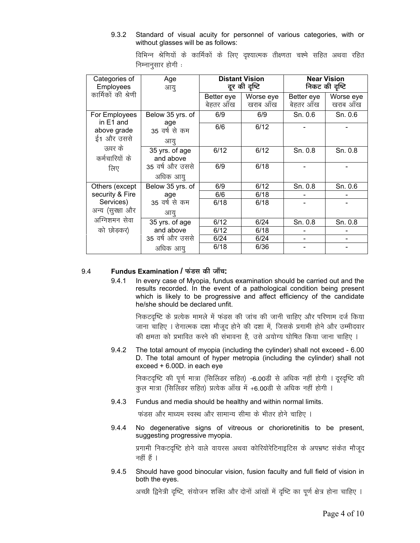9.3.2 Standard of visual acuity for personnel of various categories, with or without glasses will be as follows:

| Categories of<br>Employees                  | Age<br>आयू                  | <b>Distant Vision</b><br>दूर की दृष्टि |           | <b>Near Vision</b><br>निकट की दृष्टि |           |
|---------------------------------------------|-----------------------------|----------------------------------------|-----------|--------------------------------------|-----------|
| कार्मिकों की श्रेणी                         |                             | Better eye                             | Worse eye | Better eye                           | Worse eye |
|                                             |                             | बेहतर ऑख                               | खराब आँख  | बेहतर ऑख                             | खराब आँख  |
| For Employees<br>in $E1$ and<br>above grade | Below 35 yrs. of            | 6/9                                    | 6/9       | Sn. 0.6                              | Sn. 0.6   |
|                                             | age<br>35 वर्ष से कम        | 6/6                                    | 6/12      |                                      |           |
| ई1 और उससे                                  | आयु                         |                                        |           |                                      |           |
| ऊपर के<br>कर्मचारियों के<br>लिए             | 35 yrs. of age<br>and above | 6/12                                   | 6/12      | Sn. 0.8                              | Sn. 0.8   |
|                                             | 35 वर्ष और उससे<br>अधिक आयु | 6/9                                    | 6/18      |                                      |           |
| Others (except                              | Below 35 yrs. of            | 6/9                                    | 6/12      | Sn. 0.8                              | Sn. 0.6   |
| security & Fire                             | age                         | 6/6                                    | 6/18      |                                      |           |
| Services)                                   | 35 वर्ष से कम               | 6/18                                   | 6/18      |                                      |           |
| अन्य (सुरक्षा और                            | आयु                         |                                        |           |                                      |           |
| अग्निशमन सेवा                               | 35 yrs. of age              | 6/12                                   | 6/24      | Sn. 0.8                              | Sn. 0.8   |
| को छोड़कर)                                  | and above                   | 6/12                                   | 6/18      |                                      |           |
|                                             | 35 वर्ष और उससे             | 6/24                                   | 6/24      |                                      |           |
|                                             | अधिक आयु                    | 6/18                                   | 6/36      |                                      |           |

विभिन्न श्रेणियों के कार्मिकों के लिए दृश्यात्मक तीक्ष्णता चश्मे सहित अथवा रहित निम्नानुसार होगी <u>:</u>

### 9.4 **Fundus Examination / {ÉEÆbºÉ BÉEÉÒ VÉÉÄSÉ:**

9.4.1 In every case of Myopia, fundus examination should be carried out and the results recorded. In the event of a pathological condition being present which is likely to be progressive and affect efficiency of the candidate he/she should be declared unfit.

निकटदृष्टि के प्रत्येक मामले में फंडस की जांच की जानी चाहिए और परिणाम दर्ज किया जाना चाहिए । रोगात्मक दशा मौजूद होने की दशा में, जिसके प्रगामी होने और उम्मीदवार की क्षमता को प्रभावित करने की संभावना है. उसे अयोग्य घोषित किया जाना चाहिए ।

9.4.2 The total amount of myopia (including the cylinder) shall not exceed - 6.00 D. The total amount of hyper metropia (including the cylinder) shall not exceed + 6.00D. in each eye

निकटदृष्टि की पूर्ण मात्रा (सिलिंडर सहित) -6.00डी से अधिक नहीं होगी । दूरदृष्टि की कुल मात्रा (सिलिंडर सहित) प्रत्येक आँख में +6.00डी से अधिक नहीं होगी ।

9.4.3 Fundus and media should be healthy and within normal limits.

<u>फंडस और माध्यम स्वस्थ और सामान्य सीमा के भीतर होने चाहिए ।</u>

9.4.4 No degenerative signs of vitreous or chorioretinitis to be present, suggesting progressive myopia.

> प्रगामी निकटदृष्टि होने वाले वायरस अथवा कोरियोरेटिनाइटिस के अपभ्रष्ट संकेत मौजूद नहीं हैं ।

9.4.5 Should have good binocular vision, fusion faculty and full field of vision in both the eyes.

अच्छी द्विनेत्री दृष्टि, संयोजन शक्ति और दोनों आंखों में दृष्टि का पूर्ण क्षेत्र होना चाहिए ।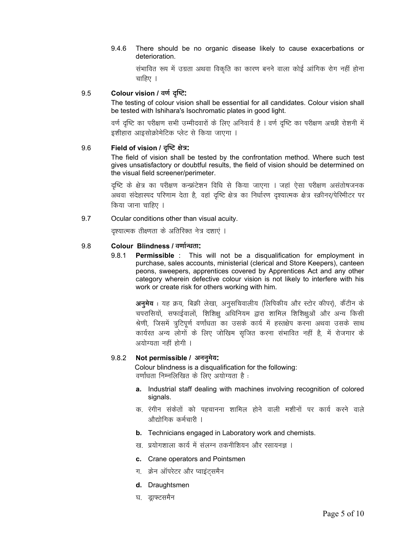#### 9.4.6 There should be no organic disease likely to cause exacerbations or deterioration.

संभावित रूप में उग्रता अथवा विकृति का कारण बनने वाला कोई आंगिक रोग नहीं होना चाहिए ।

#### 9.5 Colour vision / वर्ण दृष्टि:

The testing of colour vision shall be essential for all candidates. Colour vision shall be tested with Ishihara's Isochromatic plates in good light.

वर्ण दृष्टि का परीक्षण सभी उम्मीदवारों के लिए अनिवार्य है । वर्ण दृष्टि का परीक्षण अच्छी रोशनी में इशीहारा आइसोक्रोमेटिक प्लेट से किया जाएगा ।

#### 9.6 Field of vision / दृष्टि क्षेत्र:

The field of vision shall be tested by the confrontation method. Where such test gives unsatisfactory or doubtful results, the field of vision should be determined on the visual field screener/perimeter.

दृष्टि के क्षेत्र का परीक्षण कन्फ्रंटेशन विधि से किया जाएगा । जहां ऐसा परीक्षण असंतोषजनक अथवा संदेहास्पद परिणाम देता है, वहां दृष्टि क्षेत्र का निर्धारण दृश्यात्मक क्षेत्र स्क्रीनर/पेरिमीटर पर किया जाना चाहिए ।

#### 9.7 Ocular conditions other than visual acuity.

दृश्यात्मक तीक्ष्णता के अतिरिक्त नेत्र दशाएं ।

#### $9.8$ Colour Blindness / वर्णान्धता:

981 **Permissible**: This will not be a disqualification for employment in purchase, sales accounts, ministerial (clerical and Store Keepers), canteen peons, sweepers, apprentices covered by Apprentices Act and any other category wherein defective colour vision is not likely to interfere with his work or create risk for others working with him.

**अनुमेय** : यह क्रय, बिक्री लेखा, अनुसचिवालीय (लिपिकीय और स्टोर कीपर), कैंटीन के चपरासियों, सफाईवालों, शिशिक्षु अधिनियम द्वारा शामिल शिशिक्षुओं और अन्य किसी श्रेणी, जिसमें त्रूटिपूर्ण वर्णांधता का उसके कार्य में हस्तक्षेप करना अथवा उसके साथ कार्यरत अन्य लोगों के लिए जोखिम सुजित करना संभावित नहीं है, में रोजगार के अयोग्यता नहीं होगी ।

#### $9.8.2$ Not permissible / अननुमेय:

Colour blindness is a disqualification for the following: वर्णांधता निम्नलिखित के लिए अयोग्यता है:

- a. Industrial staff dealing with machines involving recognition of colored signals.
- क. रंगीन संकेतों को पहचानना शामिल होने वाली मशीनों पर कार्य करने वाले औद्योगिक कर्मचारी ।
- b. Technicians engaged in Laboratory work and chemists.
- ख. प्रयोगशाला कार्य में संलग्न तकनीशियन और रसायनज्ञ ।
- c. Crane operators and Pointsmen
- ग. क्रेन ऑपरेटर और प्वाइंटसमैन
- d. Draughtsmen
- घ. डाफ्टसमैन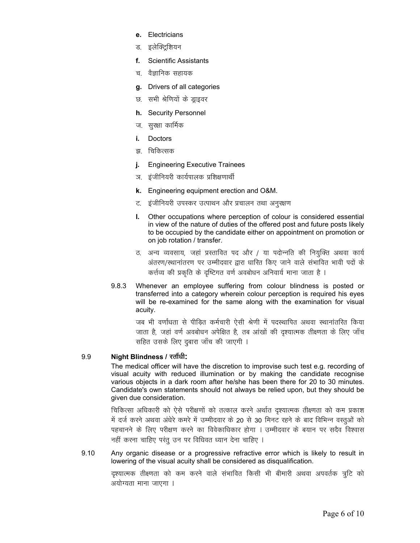- Electricians  $\mathbf{r}$
- इलेक्ट्रिशियन ड.
- **Scientific Assistants** f.
- वैज्ञानिक सहायक च
- Drivers of all categories g.
- सभी श्रेणियों के ड्राइवर छ
- h. Security Personnel
- ज.) सुरक्षा कार्मिक
- Doctors i.
- झ. चिकित्सक
- **Engineering Executive Trainees** j.
- ञ. इंजीनियरी कार्यपालक प्रशिक्षणार्थी
- k. Engineering equipment erection and O&M.
- ट. इंजीनियरी उपस्कर उत्पाथन और प्रचालन तथा अनुरक्षण
- Other occupations where perception of colour is considered essential ı. in view of the nature of duties of the offered post and future posts likely to be occupied by the candidate either on appointment on promotion or on job rotation / transfer.
- ठ. अन्य व्यवसाय, जहां प्रस्तावित पद और / या पदोन्नति की नियुक्ति अथवा कार्य अंतरण/स्थानांतरण पर उम्मीदवार द्वारा धारित किए जाने वाले संभावित भावी पदों के कर्त्तव्य की प्रकृति के दृष्टिगत वर्ण अवबोधन अनिवार्य माना जाता है।
- 9.8.3 Whenever an employee suffering from colour blindness is posted or transferred into a category wherein colour perception is required his eyes will be re-examined for the same along with the examination for visual acuity.

जब भी वर्णांधता से पीड़ित कर्मचारी ऐसी श्रेणी में पदस्थापित अथवा स्थानांतरित किया जाता है, जहां वर्ण अवबोधन अपेक्षित है, तब आंखों की दृश्यात्मक तीक्ष्णता के लिए जाँच सहित उसके लिए दुबारा जाँच की जाएगी ।

#### 9.9 Night Blindness / रतौंधी:

The medical officer will have the discretion to improvise such test e.g. recording of visual acuity with reduced illumination or by making the candidate recognise various objects in a dark room after he/she has been there for 20 to 30 minutes. Candidate's own statements should not always be relied upon, but they should be given due consideration.

चिकित्सा अधिकारी को ऐसे परीक्षणों को तत्काल करने अर्थात दृश्यात्मक तीक्ष्णता को कम प्रकाश में दर्ज करने अथवा अंधेरे कमरे में उम्मीदवार के 20 से 30 मिनट रहने के बाद विभिन्न वस्तुओं को पहचानने के लिए परीक्षण करने का विवेकाधिकार होगा । उम्मीदवार के बयान पर सदैव विश्वास नहीं करना चाहिए परंतु उन पर विधिवत ध्यान देना चाहिए ।

9.10 Any organic disease or a progressive refractive error which is likely to result in lowering of the visual acuity shall be considered as disqualification.

> दृश्यात्मक तीक्ष्णता को कम करने वाले संभावित किसी भी बीमारी अथवा अपवर्तक त्रुटि को अयोग्यता माना जाएगा ।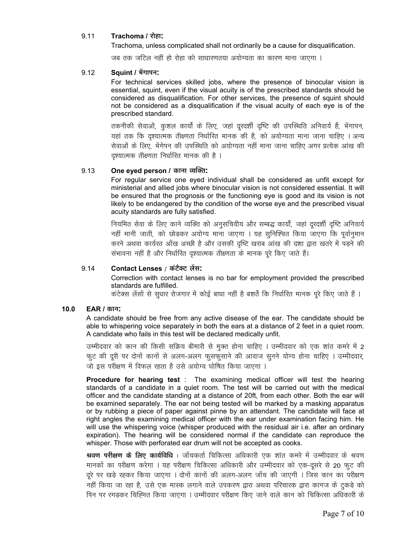#### 9.11 Trachoma / रोहा:

Trachoma, unless complicated shall not ordinarily be a cause for disqualification.

जब तक जटिल नहीं हो रोहा को साधारणतया अयोग्यता का कारण माना जाएगा ।

#### Squint / भेंगापन: 9.12

For technical services skilled jobs, where the presence of binocular vision is essential, squint, even if the visual acuity is of the prescribed standards should be considered as disqualification. For other services, the presence of squint should not be considered as a disqualification if the visual acuity of each eye is of the prescribed standard.

तकनीकी सेवाओं, कुशल कार्यों के लिए, जहां दूरदर्शी दृष्टि की उपस्थिति अनिवार्य हैं, भेंगापन, यहां तक कि दृश्यात्मक तीक्ष्णता निर्धारित मानक की है, को अयोग्यता माना जाना चाहिए । अन्य सेवाओं के लिए. भेंगेपन की उपस्थिति को अयोग्यता नहीं माना जाना चाहिए अगर प्रत्येक आंख की दृश्यात्मक तीक्ष्णता निर्धारित मानक की है ।

#### 9.13 One eyed person / काना व्यक्ति:

For regular service one eyed individual shall be considered as unfit except for ministerial and allied jobs where binocular vision is not considered essential. It will be ensured that the prognosis or the functioning eye is good and its vision is not likely to be endangered by the condition of the worse eye and the prescribed visual acuity standards are fully satisfied.

नियमित सेवा के लिए काने व्यक्ति को अनुसचिवीय और सम्बद्ध कार्यों, जहां दूरदर्शी दृष्टि अनिवार्य नहीं मानी जाती, को छोड़कर अयोग्य माना जाएगा । यह सुनिश्चित किया जाएगा कि पूर्वानुमान करने अथवा कार्यरत आँख अच्छी है और उसकी दृष्टि खराब आंख की दशा द्वारा खतरे में पड़ने की संभावना नहीं है और निर्धारित दृश्यात्मक तीक्ष्णता के मानक पुरे किए जाते हैं।

#### 9.14 Contact Lenses / कंटैक्ट लेंस:

Correction with contact lenses is no bar for employment provided the prescribed standards are fulfilled.

कंटेक्स लेंसों से सुधार रोजगार में कोई बाधा नहीं है बशर्ते कि निर्धारित मानक पूरे किए जाते हैं ।

#### $10.0$ **EAR / कान:**

A candidate should be free from any active disease of the ear. The candidate should be able to whispering voice separately in both the ears at a distance of 2 feet in a quiet room. A candidate who fails in this test will be declared medically unfit.

उम्मीदवार को कान की किसी सक्रिय बीमारी से मुक्त होना चाहिए । उम्मीदवार को एक शांत कमरे में 2 फुट की दूरी पर दोनों कानों से अलग-अलग फुसफुसाने की आवाज सुनने योग्य होना चाहिए । उम्मीदवार, जो इस परीक्षण में विफल रहता है उसे अयोग्य घोषित किया जाएगा ।

Procedure for hearing test : The examining medical officer will test the hearing standards of a candidate in a quiet room. The test will be carried out with the medical officer and the candidate standing at a distance of 20ft, from each other. Both the ear will be examined separately. The ear not being tested will be marked by a masking apparatus or by rubbing a piece of paper against pinne by an attendant. The candidate will face at right angles the examining medical officer with the ear under examination facing him. He will use the whispering voice (whisper produced with the residual air i.e. after an ordinary expiration). The hearing will be considered normal if the candidate can reproduce the whisper. Those with perforated ear drum will not be accepted as cooks.

**श्रवण परीक्षण के लिए कार्यविधि** : जाँचकर्ता चिकित्सा अधिकारी एक शांत कमरे में उम्मीदवार के श्रवण मानकों का परीक्षण करेगा । यह परीक्षण चिकित्सा अधिकारी और उम्मीदवार को एक-दूसरे से 20 फूट की दूरे पर खड़े रहकर किया जाएगा । दोनों कानों की अलग-अलग जाँच की जाएगी । जिस कान का परीक्षण नहीं किया जा रहा है, उसे एक मास्क लगाने वाले उपकरण द्वारा अथवा परिचारक द्वारा कागज के टुकड़े को पिन पर रगड़कर चिह्नित किया जाएगा । उम्मीदवार परीक्षण किए जाने वाले कान को चिकित्सा अधिकारी के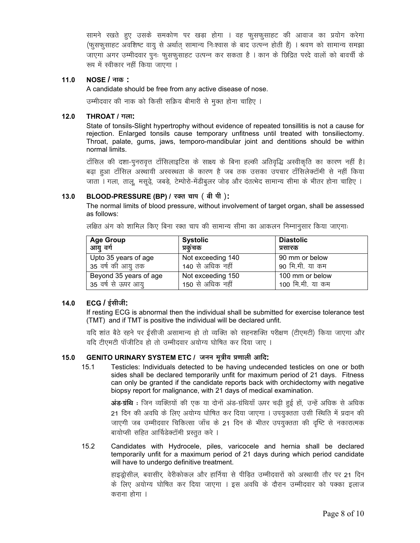सामने रखते हुए उसके समकोण पर खड़ा होगा । वह फुसफुसाहट की आवाज का प्रयोग करेगा (फुसफुसाहट अवशिष्ट वायू से अर्थात् सामान्य निःश्वास के बाद उत्पन्न होती है) । श्रवण को सामान्य समझा जाएगा अगर उम्मीदवार पुनः फुसफुसाहट उत्पन्न कर सकता है । कान के छिद्रित परदे वालों को बावर्ची के रूप में स्वीकार नहीं किया जाएगा ।

#### $NOSE / \pi\overline{w}$ :  $11.0$

A candidate should be free from any active disease of nose.

उम्मीदवार की नाक को किसी सक्रिय बीमारी से मुक्त होना चाहिए ।

#### $12.0$ THROAT / गला:

State of tonsils-Slight hypertrophy without evidence of repeated tonsillitis is not a cause for rejection. Enlarged tonsils cause temporary unfitness until treated with tonsiliectomy. Throat, palate, gums, jaws, temporo-mandibular joint and dentitions should be within normal limits.

टाँसिल की दशा-पुनरावृत्त टाँसिलाइटिस के साक्ष्य के बिना हल्की अतिवृद्धि अस्वीकृति का कारण नहीं है। बढा हुआ टाँसिल अस्थायी अस्वस्थता के कारण है जब तक उसका उपचार टाँसिलेक्टाॅमी से नहीं किया जाता । गला, ताल, मसुढे, जबड़े, टेम्पोरो-मेंडीबुलर जोड़ और दंतत्भेद सामान्य सीमा के भीतर होना चाहिए ।

#### BLOOD-PRESSURE (BP) / रक्त चाप (बी पी):  $13.0$

The normal limits of blood pressure, without involvement of target organ, shall be assessed as follows:

लक्षित अंग को शामिल किए बिना रक्त चाप की सामान्य सीमा का आकलन निम्नानुसार किया जाएगाः

| <b>Age Group</b>       | <b>Systolic</b>   | <b>Diastolic</b> |
|------------------------|-------------------|------------------|
| आयु वर्ग               | प्रकचक            | प्रसारक          |
| Upto 35 years of age   | Not exceeding 140 | 90 mm or below   |
| 35 वर्ष की आयु तक      | 140 से अधिक नहीं  | 90 मि.मी. या कम  |
| Beyond 35 years of age | Not exceeding 150 | 100 mm or below  |
| 35 वर्ष से ऊपर आयू     | 150 से अधिक नहीं  | 100 मि.मी. या कम |

#### $14.0$  $ECG / \frac{1}{2}$ सीजी:

If resting ECG is abnormal then the individual shall be submitted for exercise tolerance test (TMT) and if TMT is positive the individual will be declared unfit.

यदि शांत बैठे रहने पर ईसीजी असामान्य हो तो व्यक्ति को सहनशक्ति परीक्षण (टीएमटी) किया जाएगा और यदि टीएमटी पॉजीटिव हो तो उम्मीदवार अयोग्य घोषित कर दिया जाए ।

#### GENITO URINARY SYSTEM ETC / जनन मूत्रीय प्रणाली आदि:  $15.0$

Testicles: Individuals detected to be having undecended testicles on one or both  $15.1$ sides shall be declared temporarily unfit for maximum period of 21 days. Fitness can only be granted if the candidate reports back with orchidectomy with negative biopsy report for malignance, with 21 days of medical examination.

> अंड-ग्रंथि : जिन व्यक्तियों की एक या दोनों अंड-ग्रंथियाँ ऊपर चढ़ी हुई हों, उन्हें अधिक से अधिक 21 दिन की अवधि के लिए अयोग्य घोषित कर दिया जाएगा । उपयुक्तता उसी स्थिति में प्रदान की जाएगी जब उम्मीदवार चिकित्सा जाँच के 21 दिन के भीतर उपयुक्तता की दृष्टि से नकारात्मक बायोप्सी सहित आर्चिडेक्टॉमी प्रस्तुत करे ।

 $15.2$ Candidates with Hydrocele, piles, varicocele and hernia shall be declared temporarily unfit for a maximum period of 21 days during which period candidate will have to undergo definitive treatment.

> हाइड्रोसील, बवासीर, वेरीकोकल और हार्निया से पीड़ित उम्मीदवारों को अस्थायी तौर पर 21 दिन के लिए अयोग्य घोषित कर दिया जाएगा । इस अवधि के दौरान उम्मीदवार को पक्का इलाज कराना होगा ।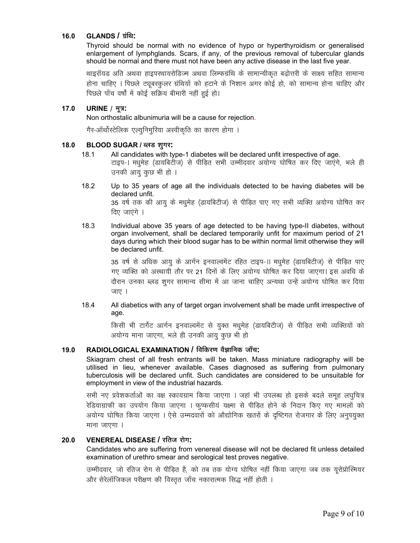#### $16.0$ **GLANDS / ग्रंथि:**

Thyroid should be normal with no evidence of hypo or hyperthyroidism or generalised enlargement of lymphglands. Scars, if any, of the previous removal of tubercular glands should be normal and there must not have been any active disease in the last five year.

थाइरॉयड अति अथवा हाइपरथायरोडिज्म अथवा लिम्फग्रंथि के सामान्यीकृत बढोत्तरी के साक्ष्य सहित सामान्य होना चाहिए । पिछले ट्यूबरकुलर ग्रंथियों को हटाने के निशान अगर कोई हो, को सामान्य होना चाहिए और पिछले पाँच वर्षों में कोई सक्रिय बीमारी नहीं हुई हो।

#### $17.0$ URINE / मूत्र:

Non orthostalic albunimuria will be a cause for rejection.

गैर-ऑर्थोस्टेलिक एल्युनिमुरिया अस्वीकृति का कारण होगा ।

#### $18.0$ BLOOD SUGAR / ब्लड शुगर:

- $18.1$ All candidates with type-1 diabetes will be declared unfit irrespective of age. टाइप-। मधुमेह (डायबिटीज) से पीड़ित सभी उम्मीदवार अयोग्य घोषित कर दिए जाएंगे, भले ही उनकी आयु कुछ भी हो ।
- 18.2 Up to 35 years of age all the individuals detected to be having diabetes will be declared unfit. 35 वर्ष तक की आयू के मधुमेह (डायबिटीज) से पीड़ित पाए गए सभी व्यक्ति अयोग्य घोषित कर

दिए जाएंगे ।

18.3 Individual above 35 years of age detected to be having type-II diabetes, without organ involvement, shall be declared temporarily unfit for maximum period of 21 days during which their blood sugar has to be within normal limit otherwise they will be declared unfit.

> 35 वर्ष से अधिक आयु के आर्गन इनवाल्वमेंट रहित टाइप-॥ मधुमेह (डायबिटीज) से पीड़ित पाए गए व्यक्ति को अस्थायी तौर पर 21 दिनों के लिए अयोग्य घोषित कर दिया जाएगा। इस अवधि के दौरान उनका ब्लड शुगर सामान्य सीमा में आ जाना चाहिए अन्यथा उन्हें अयोग्य घोषित कर दिया जाए ।

18.4 All diabetics with any of target organ involvement shall be made unfit irrespective of age.

> किसी भी टार्गेट आर्गन इनवाल्वमेंट से युक्त मधुमेह (डायबिटीज) से पीड़ित सभी व्यक्तियों को अयोग्य माना जाएगा, भले ही उनकी आयू कुछ भी हो

#### 19.0 RADIOLOGICAL EXAMINATION / विकिरण वैज्ञानिक जाँच:

Skiagram chest of all fresh entrants will be taken. Mass miniature radiography will be utilised in lieu, whenever available. Cases diagnosed as suffering from pulmonary tuberculosis will be declared unfit. Such candidates are considered to be unsuitable for employment in view of the industrial hazards.

सभी नए प्रवेशकर्ताओं का वक्ष स्कायग्राम किया जाएगा । जहां भी उपलब्ध हो इसके बदले समूह लघुचित्र रेडियाग्राफी का उपयोग किया जाएगा । फूफसीयं यक्ष्मा से पीड़ित होने के निदान किए गए मामलों को अयोग्य घोषित किया जाएगा । ऐसे उम्मदवारों को औद्योगिक खतरों के दृष्टिगत रोजगार के लिए अनुपयुक्त माना जाएगा ।

#### **VENEREAL DISEASE / रतिज रोग:**  $20.0$

Candidates who are suffering from venereal disease will not be declared fit unless detailed examination of urethro smear and serological test proves negative.

उम्मीदवार, जो रतिज रोग से पीड़ित है, को तब तक योग्य घोषित नहीं किया जाएगा जब तक यूरोप्रोस्मियर और सेरेलॉजिकल परीक्षण की विस्तृत जाँच नकारात्मक सिद्ध नहीं होती ।